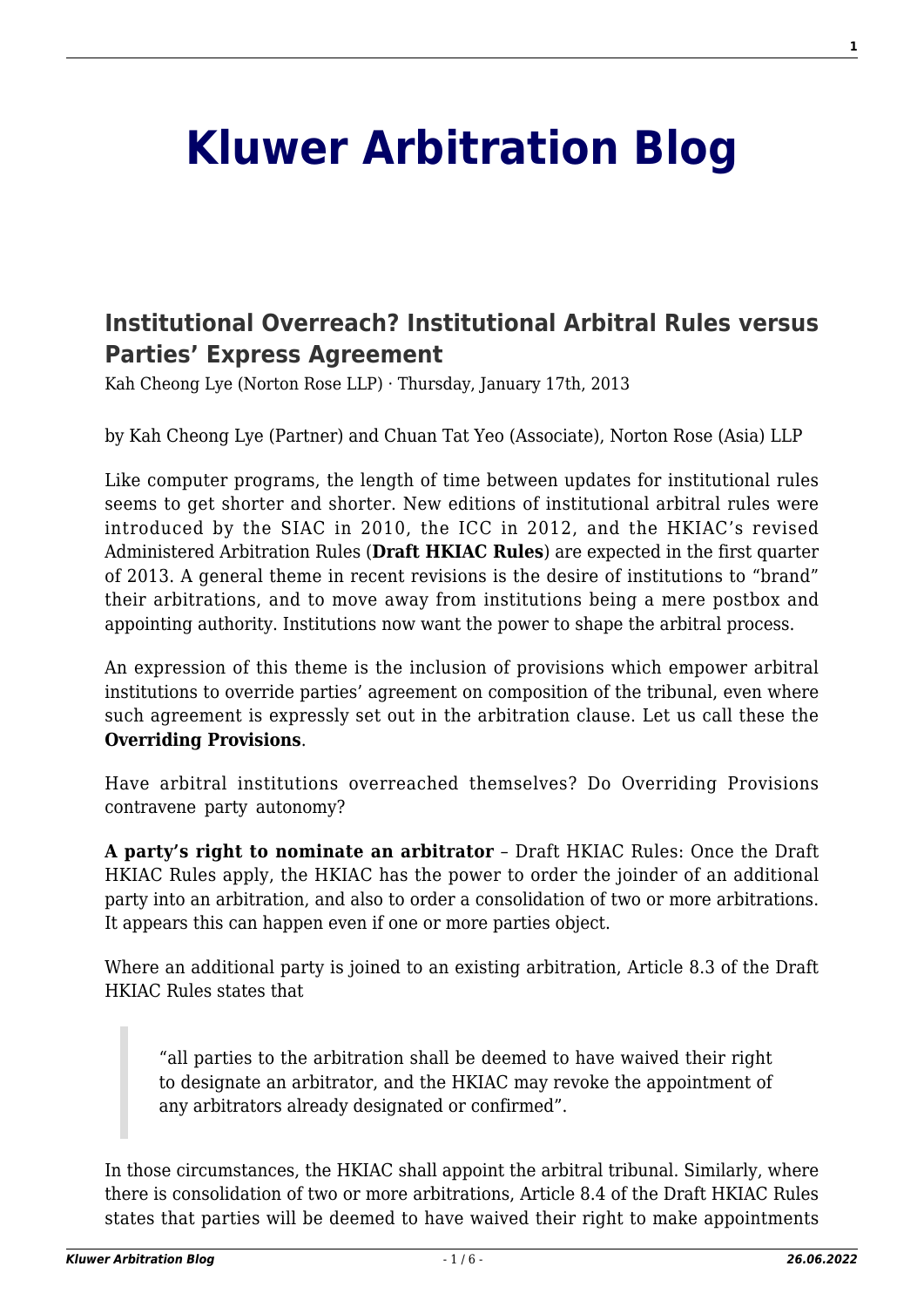## **[Kluwer Arbitration Blog](http://arbitrationblog.kluwerarbitration.com/)**

## **[Institutional Overreach? Institutional Arbitral Rules versus](http://arbitrationblog.kluwerarbitration.com/2013/01/17/institutional-overreach-institutional-arbitral-rules-versus-parties-express-agreement/) [Parties' Express Agreement](http://arbitrationblog.kluwerarbitration.com/2013/01/17/institutional-overreach-institutional-arbitral-rules-versus-parties-express-agreement/)**

Kah Cheong Lye (Norton Rose LLP) · Thursday, January 17th, 2013

by Kah Cheong Lye (Partner) and Chuan Tat Yeo (Associate), Norton Rose (Asia) LLP

Like computer programs, the length of time between updates for institutional rules seems to get shorter and shorter. New editions of institutional arbitral rules were introduced by the SIAC in 2010, the ICC in 2012, and the HKIAC's revised Administered Arbitration Rules (**Draft HKIAC Rules**) are expected in the first quarter of 2013. A general theme in recent revisions is the desire of institutions to "brand" their arbitrations, and to move away from institutions being a mere postbox and appointing authority. Institutions now want the power to shape the arbitral process.

An expression of this theme is the inclusion of provisions which empower arbitral institutions to override parties' agreement on composition of the tribunal, even where such agreement is expressly set out in the arbitration clause. Let us call these the **Overriding Provisions**.

Have arbitral institutions overreached themselves? Do Overriding Provisions contravene party autonomy?

**A party's right to nominate an arbitrator** – Draft HKIAC Rules: Once the Draft HKIAC Rules apply, the HKIAC has the power to order the joinder of an additional party into an arbitration, and also to order a consolidation of two or more arbitrations. It appears this can happen even if one or more parties object.

Where an additional party is joined to an existing arbitration, Article 8.3 of the Draft HKIAC Rules states that

"all parties to the arbitration shall be deemed to have waived their right to designate an arbitrator, and the HKIAC may revoke the appointment of any arbitrators already designated or confirmed".

In those circumstances, the HKIAC shall appoint the arbitral tribunal. Similarly, where there is consolidation of two or more arbitrations, Article 8.4 of the Draft HKIAC Rules states that parties will be deemed to have waived their right to make appointments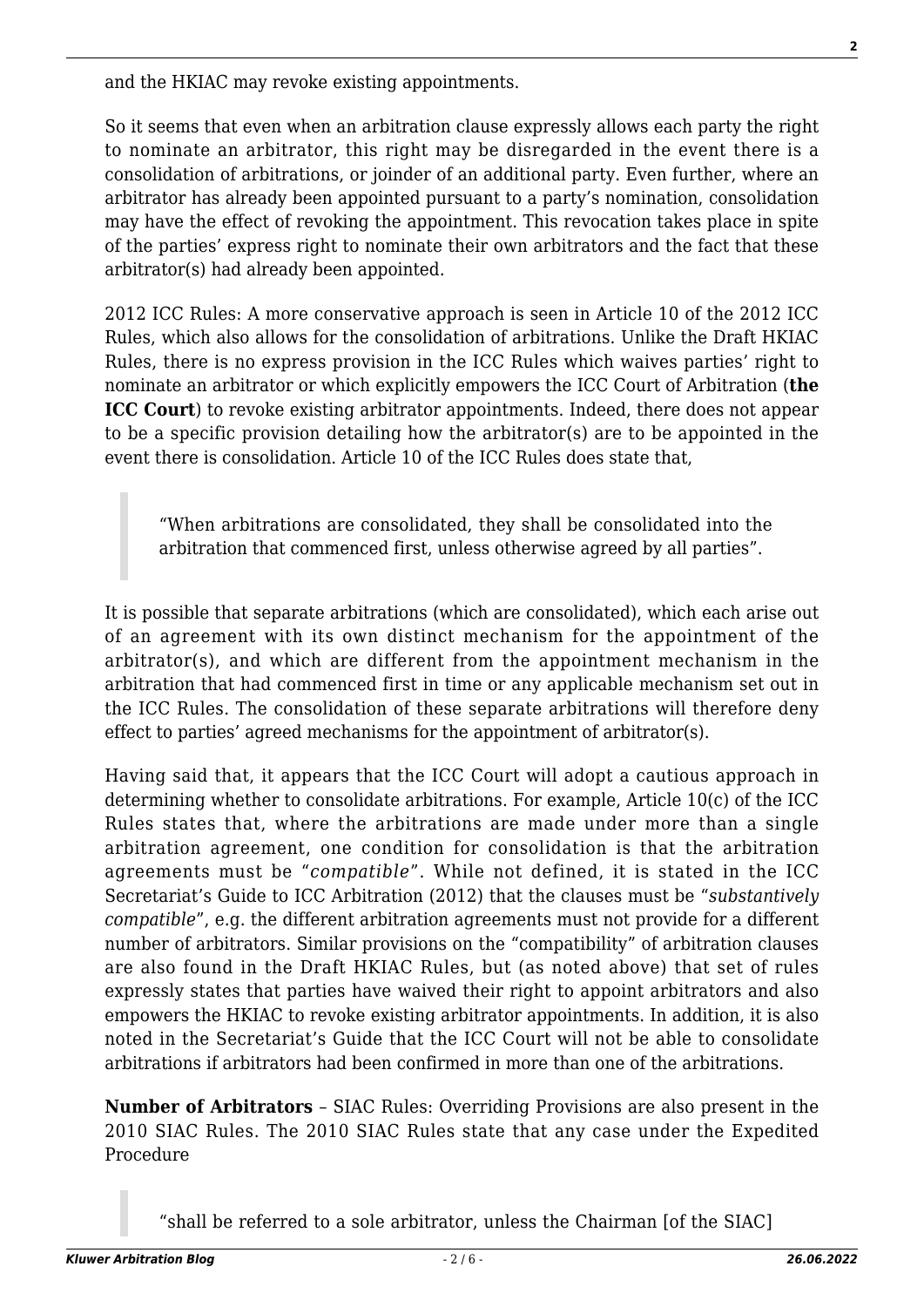and the HKIAC may revoke existing appointments.

So it seems that even when an arbitration clause expressly allows each party the right to nominate an arbitrator, this right may be disregarded in the event there is a consolidation of arbitrations, or joinder of an additional party. Even further, where an arbitrator has already been appointed pursuant to a party's nomination, consolidation may have the effect of revoking the appointment. This revocation takes place in spite of the parties' express right to nominate their own arbitrators and the fact that these arbitrator(s) had already been appointed.

2012 ICC Rules: A more conservative approach is seen in Article 10 of the 2012 ICC Rules, which also allows for the consolidation of arbitrations. Unlike the Draft HKIAC Rules, there is no express provision in the ICC Rules which waives parties' right to nominate an arbitrator or which explicitly empowers the ICC Court of Arbitration (**the ICC Court**) to revoke existing arbitrator appointments. Indeed, there does not appear to be a specific provision detailing how the arbitrator(s) are to be appointed in the event there is consolidation. Article 10 of the ICC Rules does state that,

"When arbitrations are consolidated, they shall be consolidated into the arbitration that commenced first, unless otherwise agreed by all parties".

It is possible that separate arbitrations (which are consolidated), which each arise out of an agreement with its own distinct mechanism for the appointment of the arbitrator(s), and which are different from the appointment mechanism in the arbitration that had commenced first in time or any applicable mechanism set out in the ICC Rules. The consolidation of these separate arbitrations will therefore deny effect to parties' agreed mechanisms for the appointment of arbitrator(s).

Having said that, it appears that the ICC Court will adopt a cautious approach in determining whether to consolidate arbitrations. For example, Article 10(c) of the ICC Rules states that, where the arbitrations are made under more than a single arbitration agreement, one condition for consolidation is that the arbitration agreements must be "*compatible*". While not defined, it is stated in the ICC Secretariat's Guide to ICC Arbitration (2012) that the clauses must be "*substantively compatible*", e.g. the different arbitration agreements must not provide for a different number of arbitrators. Similar provisions on the "compatibility" of arbitration clauses are also found in the Draft HKIAC Rules, but (as noted above) that set of rules expressly states that parties have waived their right to appoint arbitrators and also empowers the HKIAC to revoke existing arbitrator appointments. In addition, it is also noted in the Secretariat's Guide that the ICC Court will not be able to consolidate arbitrations if arbitrators had been confirmed in more than one of the arbitrations.

**Number of Arbitrators** – SIAC Rules: Overriding Provisions are also present in the 2010 SIAC Rules. The 2010 SIAC Rules state that any case under the Expedited Procedure

"shall be referred to a sole arbitrator, unless the Chairman [of the SIAC]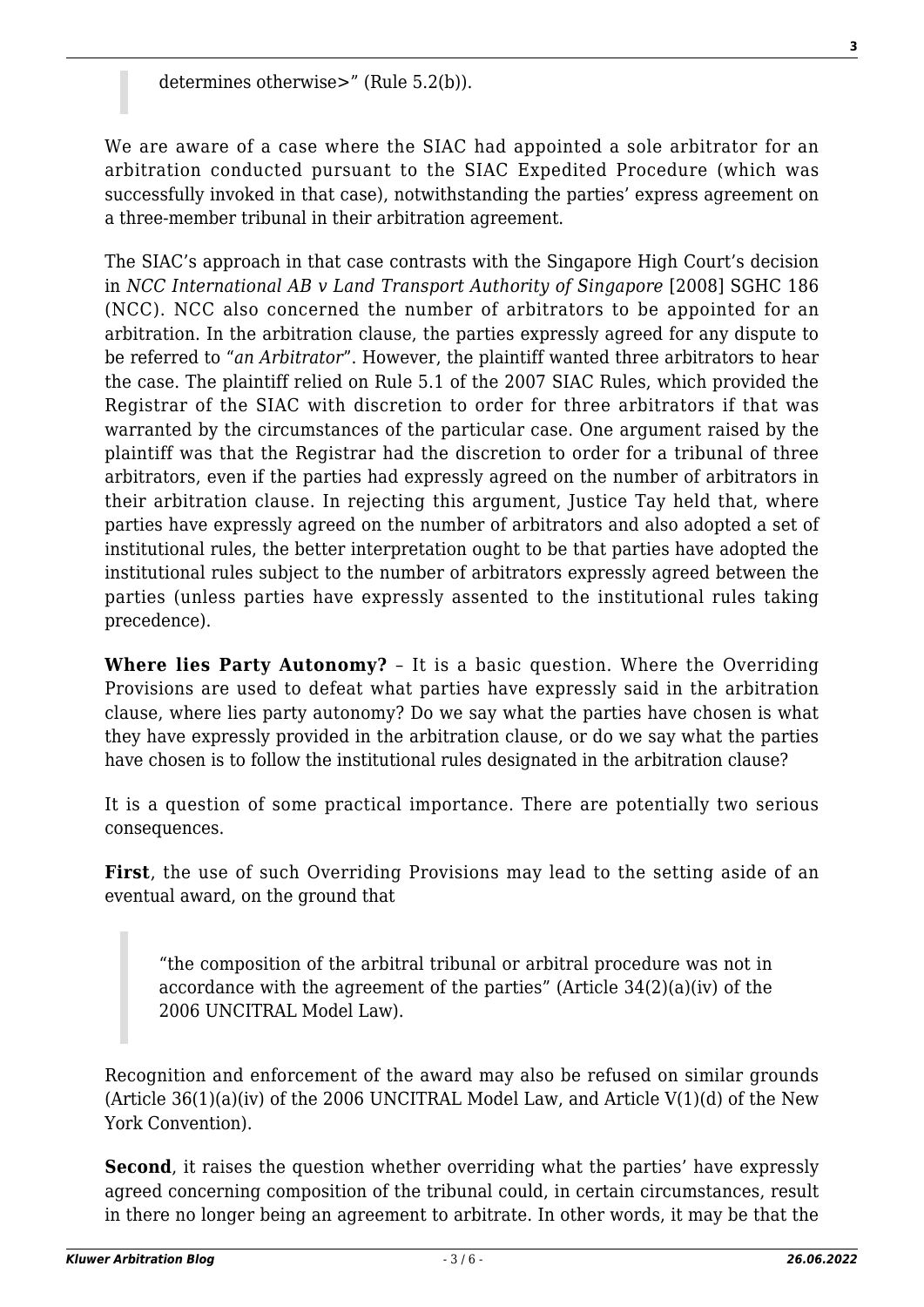We are aware of a case where the SIAC had appointed a sole arbitrator for an arbitration conducted pursuant to the SIAC Expedited Procedure (which was successfully invoked in that case), notwithstanding the parties' express agreement on a three-member tribunal in their arbitration agreement.

The SIAC's approach in that case contrasts with the Singapore High Court's decision in *NCC International AB v Land Transport Authority of Singapore* [2008] SGHC 186 (NCC). NCC also concerned the number of arbitrators to be appointed for an arbitration. In the arbitration clause, the parties expressly agreed for any dispute to be referred to "*an Arbitrator*". However, the plaintiff wanted three arbitrators to hear the case. The plaintiff relied on Rule 5.1 of the 2007 SIAC Rules, which provided the Registrar of the SIAC with discretion to order for three arbitrators if that was warranted by the circumstances of the particular case. One argument raised by the plaintiff was that the Registrar had the discretion to order for a tribunal of three arbitrators, even if the parties had expressly agreed on the number of arbitrators in their arbitration clause. In rejecting this argument, Justice Tay held that, where parties have expressly agreed on the number of arbitrators and also adopted a set of institutional rules, the better interpretation ought to be that parties have adopted the institutional rules subject to the number of arbitrators expressly agreed between the parties (unless parties have expressly assented to the institutional rules taking precedence).

**Where lies Party Autonomy?** – It is a basic question. Where the Overriding Provisions are used to defeat what parties have expressly said in the arbitration clause, where lies party autonomy? Do we say what the parties have chosen is what they have expressly provided in the arbitration clause, or do we say what the parties have chosen is to follow the institutional rules designated in the arbitration clause?

It is a question of some practical importance. There are potentially two serious consequences.

**First**, the use of such Overriding Provisions may lead to the setting aside of an eventual award, on the ground that

"the composition of the arbitral tribunal or arbitral procedure was not in accordance with the agreement of the parties" (Article 34(2)(a)(iv) of the 2006 UNCITRAL Model Law).

Recognition and enforcement of the award may also be refused on similar grounds (Article  $36(1)(a)(iv)$  of the 2006 UNCITRAL Model Law, and Article V(1)(d) of the New York Convention).

**Second**, it raises the question whether overriding what the parties' have expressly agreed concerning composition of the tribunal could, in certain circumstances, result in there no longer being an agreement to arbitrate. In other words, it may be that the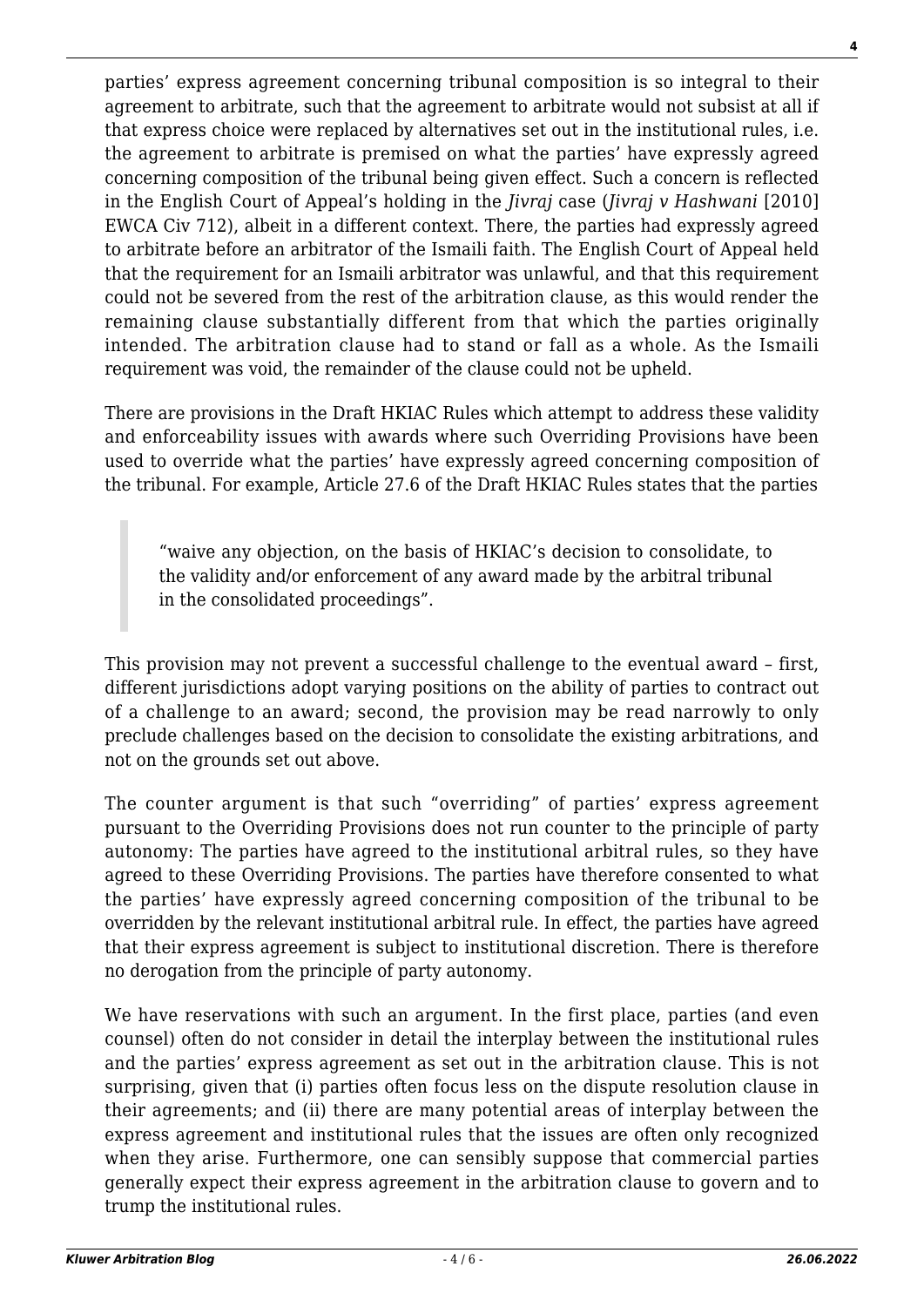parties' express agreement concerning tribunal composition is so integral to their agreement to arbitrate, such that the agreement to arbitrate would not subsist at all if that express choice were replaced by alternatives set out in the institutional rules, i.e. the agreement to arbitrate is premised on what the parties' have expressly agreed concerning composition of the tribunal being given effect. Such a concern is reflected in the English Court of Appeal's holding in the *Jivraj* case (*Jivraj v Hashwani* [2010] EWCA Civ 712), albeit in a different context. There, the parties had expressly agreed to arbitrate before an arbitrator of the Ismaili faith. The English Court of Appeal held that the requirement for an Ismaili arbitrator was unlawful, and that this requirement could not be severed from the rest of the arbitration clause, as this would render the remaining clause substantially different from that which the parties originally intended. The arbitration clause had to stand or fall as a whole. As the Ismaili requirement was void, the remainder of the clause could not be upheld.

There are provisions in the Draft HKIAC Rules which attempt to address these validity and enforceability issues with awards where such Overriding Provisions have been used to override what the parties' have expressly agreed concerning composition of the tribunal. For example, Article 27.6 of the Draft HKIAC Rules states that the parties

"waive any objection, on the basis of HKIAC's decision to consolidate, to the validity and/or enforcement of any award made by the arbitral tribunal in the consolidated proceedings".

This provision may not prevent a successful challenge to the eventual award – first, different jurisdictions adopt varying positions on the ability of parties to contract out of a challenge to an award; second, the provision may be read narrowly to only preclude challenges based on the decision to consolidate the existing arbitrations, and not on the grounds set out above.

The counter argument is that such "overriding" of parties' express agreement pursuant to the Overriding Provisions does not run counter to the principle of party autonomy: The parties have agreed to the institutional arbitral rules, so they have agreed to these Overriding Provisions. The parties have therefore consented to what the parties' have expressly agreed concerning composition of the tribunal to be overridden by the relevant institutional arbitral rule. In effect, the parties have agreed that their express agreement is subject to institutional discretion. There is therefore no derogation from the principle of party autonomy.

We have reservations with such an argument. In the first place, parties (and even counsel) often do not consider in detail the interplay between the institutional rules and the parties' express agreement as set out in the arbitration clause. This is not surprising, given that (i) parties often focus less on the dispute resolution clause in their agreements; and (ii) there are many potential areas of interplay between the express agreement and institutional rules that the issues are often only recognized when they arise. Furthermore, one can sensibly suppose that commercial parties generally expect their express agreement in the arbitration clause to govern and to trump the institutional rules.

**4**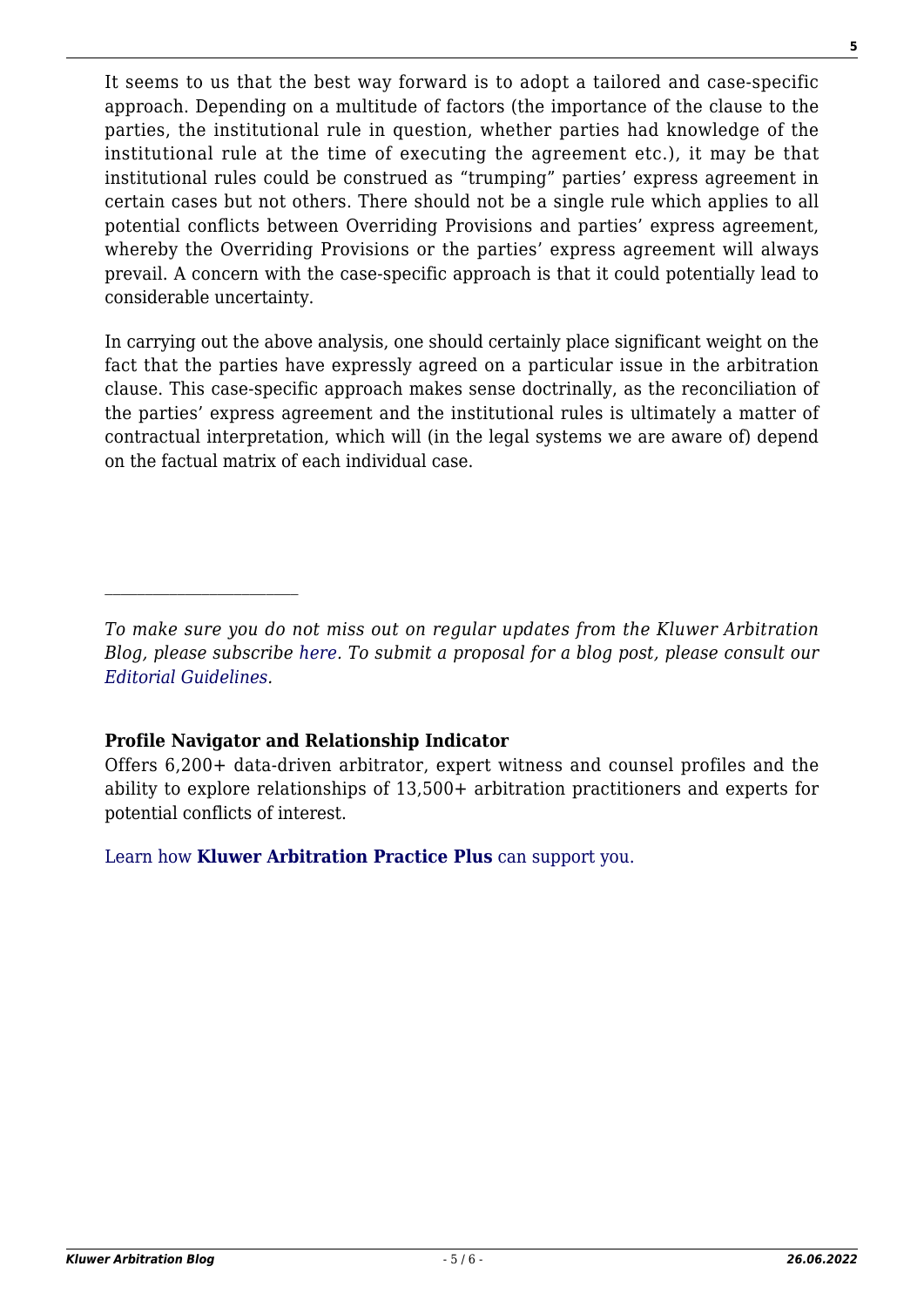It seems to us that the best way forward is to adopt a tailored and case-specific approach. Depending on a multitude of factors (the importance of the clause to the parties, the institutional rule in question, whether parties had knowledge of the institutional rule at the time of executing the agreement etc.), it may be that institutional rules could be construed as "trumping" parties' express agreement in certain cases but not others. There should not be a single rule which applies to all potential conflicts between Overriding Provisions and parties' express agreement, whereby the Overriding Provisions or the parties' express agreement will always prevail. A concern with the case-specific approach is that it could potentially lead to considerable uncertainty.

In carrying out the above analysis, one should certainly place significant weight on the fact that the parties have expressly agreed on a particular issue in the arbitration clause. This case-specific approach makes sense doctrinally, as the reconciliation of the parties' express agreement and the institutional rules is ultimately a matter of contractual interpretation, which will (in the legal systems we are aware of) depend on the factual matrix of each individual case.

## **Profile Navigator and Relationship Indicator**

 $\mathcal{L}_\text{max}$ 

Offers 6,200+ data-driven arbitrator, expert witness and counsel profiles and the ability to explore relationships of 13,500+ arbitration practitioners and experts for potential conflicts of interest.

[Learn how](https://www.wolterskluwer.com/en/solutions/kluwerarbitration/practiceplus?utm_source=arbitrationblog&utm_medium=articleCTA&utm_campaign=article-banner) **[Kluwer Arbitration Practice Plus](https://www.wolterskluwer.com/en/solutions/kluwerarbitration/practiceplus?utm_source=arbitrationblog&utm_medium=articleCTA&utm_campaign=article-banner)** [can support you.](https://www.wolterskluwer.com/en/solutions/kluwerarbitration/practiceplus?utm_source=arbitrationblog&utm_medium=articleCTA&utm_campaign=article-banner)

*To make sure you do not miss out on regular updates from the Kluwer Arbitration Blog, please subscribe [here](http://arbitrationblog.kluwerarbitration.com/newsletter/). To submit a proposal for a blog post, please consult our [Editorial Guidelines.](http://arbitrationblog.kluwerarbitration.com/editorial-guidelines/)*